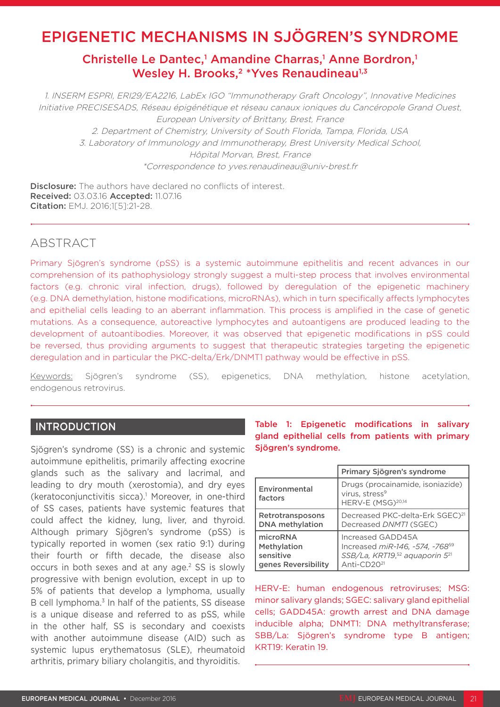# EPIGENETIC MECHANISMS IN SJÖGREN'S SYNDROME

# Christelle Le Dantec,<sup>1</sup> Amandine Charras,<sup>1</sup> Anne Bordron,<sup>1</sup> Wesley H. Brooks, $2 * Y$ ves Renaudineau<sup>1,3</sup>

1. INSERM ESPRI, ERI29/EA2216, LabEx IGO "Immunotherapy Graft Oncology", Innovative Medicines Initiative PRECISESADS, Réseau épigénétique et réseau canaux ioniques du Cancéropole Grand Ouest, European University of Brittany, Brest, France 2. Department of Chemistry, University of South Florida, Tampa, Florida, USA 3. Laboratory of Immunology and Immunotherapy, Brest University Medical School,

> Hôpital Morvan, Brest, France \*Correspondence to yves.renaudineau@univ-brest.fr

**Disclosure:** The authors have declared no conflicts of interest. Received: 03.03.16 Accepted: 11.07.16 Citation: EMJ. 2016;1[5]:21-28.

# ABSTRACT

Primary Sjögren's syndrome (pSS) is a systemic autoimmune epithelitis and recent advances in our comprehension of its pathophysiology strongly suggest a multi-step process that involves environmental factors (e.g. chronic viral infection, drugs), followed by deregulation of the epigenetic machinery (e.g. DNA demethylation, histone modifications, microRNAs), which in turn specifically affects lymphocytes and epithelial cells leading to an aberrant inflammation. This process is amplified in the case of genetic mutations. As a consequence, autoreactive lymphocytes and autoantigens are produced leading to the development of autoantibodies. Moreover, it was observed that epigenetic modifications in pSS could be reversed, thus providing arguments to suggest that therapeutic strategies targeting the epigenetic deregulation and in particular the PKC-delta/Erk/DNMT1 pathway would be effective in pSS.

Keywords: Sjögren's syndrome (SS), epigenetics, DNA methylation, histone acetylation, endogenous retrovirus.

## INTRODUCTION

Sjögren's syndrome (SS) is a chronic and systemic autoimmune epithelitis, primarily affecting exocrine glands such as the salivary and lacrimal, and leading to dry mouth (xerostomia), and dry eyes (keratoconjunctivitis sicca).<sup>1</sup> Moreover, in one-third of SS cases, patients have systemic features that could affect the kidney, lung, liver, and thyroid. Although primary Sjögren's syndrome (pSS) is typically reported in women (sex ratio 9:1) during their fourth or fifth decade, the disease also occurs in both sexes and at any age.<sup>2</sup> SS is slowly progressive with benign evolution, except in up to 5% of patients that develop a lymphoma, usually B cell lymphoma.<sup>3</sup> In half of the patients, SS disease is a unique disease and referred to as pSS, while in the other half, SS is secondary and coexists with another autoimmune disease (AID) such as systemic lupus erythematosus (SLE), rheumatoid arthritis, primary biliary cholangitis, and thyroiditis.

Table 1: Epigenetic modifications in salivary gland epithelial cells from patients with primary Sjögren's syndrome.

|                          | Primary Sjögren's syndrome                                                                      |
|--------------------------|-------------------------------------------------------------------------------------------------|
| Environmental<br>factors | Drugs (procainamide, isoniazide)<br>virus, stress <sup>9</sup><br>HERV-E (MSG) <sup>20,14</sup> |
| Retrotransposons         | Decreased PKC-delta-Erk SGEC) <sup>21</sup>                                                     |
| <b>DNA</b> methylation   | Decreased DNMT1 (SGEC)                                                                          |
| microRNA                 | Increased GADD45A                                                                               |
| Methylation              | Increased miR-146, -574, -768 <sup>59</sup>                                                     |
| sensitive                | SSB/La, KRT19, <sup>52</sup> aquaporin 5 <sup>21</sup>                                          |
| genes Reversibility      | Anti-CD20 <sup>21</sup>                                                                         |

HERV-E: human endogenous retroviruses; MSG: minor salivary glands; SGEC: salivary gland epithelial cells; GADD45A: growth arrest and DNA damage inducible alpha; DNMT1: DNA methyltransferase; SBB/La: Sjögren's syndrome type B antigen; KRT19: Keratin 19.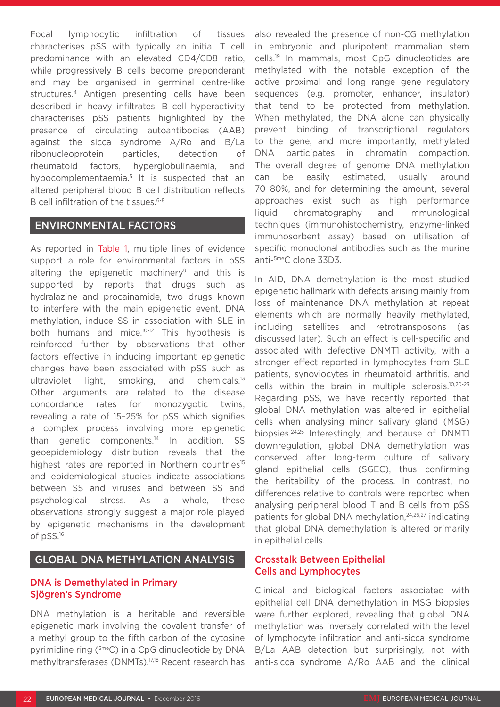Focal lymphocytic infiltration of tissues characterises pSS with typically an initial T cell predominance with an elevated CD4/CD8 ratio, while progressively B cells become preponderant and may be organised in germinal centre-like structures.4 Antigen presenting cells have been described in heavy infiltrates. B cell hyperactivity characterises pSS patients highlighted by the presence of circulating autoantibodies (AAB) against the sicca syndrome A/Ro and B/La ribonucleoprotein particles, detection of rheumatoid factors, hyperglobulinaemia, and hypocomplementaemia.5 It is suspected that an altered peripheral blood B cell distribution reflects B cell infiltration of the tissues.<sup>6-8</sup>

## ENVIRONMENTAL FACTORS

As reported in Table 1, multiple lines of evidence support a role for environmental factors in pSS altering the epigenetic machinery<sup>9</sup> and this is supported by reports that drugs such as hydralazine and procainamide, two drugs known to interfere with the main epigenetic event, DNA methylation, induce SS in association with SLE in both humans and mice.10-12 This hypothesis is reinforced further by observations that other factors effective in inducing important epigenetic changes have been associated with pSS such as ultraviolet light, smoking, and chemicals.13 Other arguments are related to the disease concordance rates for monozygotic twins, revealing a rate of 15–25% for pSS which signifies a complex process involving more epigenetic than genetic components.14 In addition, SS geoepidemiology distribution reveals that the highest rates are reported in Northern countries<sup>15</sup> and epidemiological studies indicate associations between SS and viruses and between SS and psychological stress. As a whole, these observations strongly suggest a major role played by epigenetic mechanisms in the development of pSS.16

## GLOBAL DNA METHYLATION ANALYSIS

## DNA is Demethylated in Primary Sjögren's Syndrome

DNA methylation is a heritable and reversible epigenetic mark involving the covalent transfer of a methyl group to the fifth carbon of the cytosine pyrimidine ring (5meC) in a CpG dinucleotide by DNA methyltransferases (DNMTs).17,18 Recent research has also revealed the presence of non-CG methylation in embryonic and pluripotent mammalian stem cells.19 In mammals, most CpG dinucleotides are methylated with the notable exception of the active proximal and long range gene regulatory sequences (e.g. promoter, enhancer, insulator) that tend to be protected from methylation. When methylated, the DNA alone can physically prevent binding of transcriptional regulators to the gene, and more importantly, methylated DNA participates in chromatin compaction. The overall degree of genome DNA methylation can be easily estimated, usually around 70–80%, and for determining the amount, several approaches exist such as high performance liquid chromatography and immunological techniques (immunohistochemistry, enzyme-linked immunosorbent assay) based on utilisation of specific monoclonal antibodies such as the murine anti-5meC clone 33D3.

In AID, DNA demethylation is the most studied epigenetic hallmark with defects arising mainly from loss of maintenance DNA methylation at repeat elements which are normally heavily methylated, including satellites and retrotransposons (as discussed later). Such an effect is cell-specific and associated with defective DNMT1 activity, with a stronger effect reported in lymphocytes from SLE patients, synoviocytes in rheumatoid arthritis, and cells within the brain in multiple sclerosis.10,20-23 Regarding pSS, we have recently reported that global DNA methylation was altered in epithelial cells when analysing minor salivary gland (MSG) biopsies.24,25 Interestingly, and because of DNMT1 downregulation, global DNA demethylation was conserved after long-term culture of salivary gland epithelial cells (SGEC), thus confirming the heritability of the process. In contrast, no differences relative to controls were reported when analysing peripheral blood T and B cells from pSS patients for global DNA methylation,<sup>24,26,27</sup> indicating that global DNA demethylation is altered primarily in epithelial cells.

## Crosstalk Between Epithelial Cells and Lymphocytes

Clinical and biological factors associated with epithelial cell DNA demethylation in MSG biopsies were further explored, revealing that global DNA methylation was inversely correlated with the level of lymphocyte infiltration and anti-sicca syndrome B/La AAB detection but surprisingly, not with anti-sicca syndrome A/Ro AAB and the clinical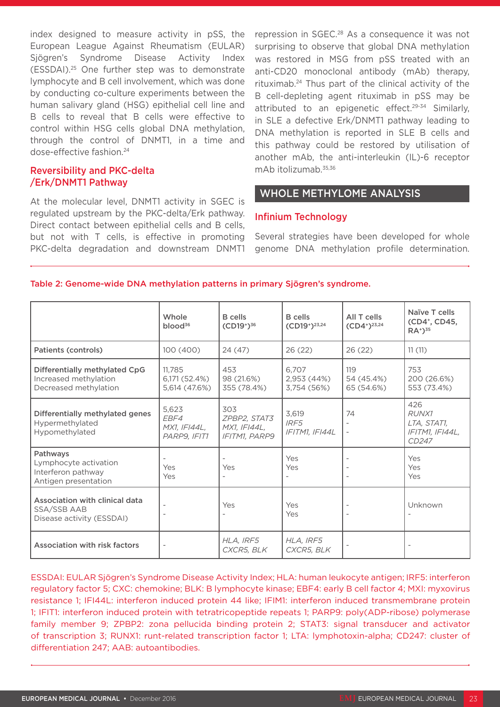index designed to measure activity in pSS, the European League Against Rheumatism (EULAR) Sjögren's Syndrome Disease Activity Index (ESSDAI).25 One further step was to demonstrate lymphocyte and B cell involvement, which was done by conducting co-culture experiments between the human salivary gland (HSG) epithelial cell line and B cells to reveal that B cells were effective to control within HSG cells global DNA methylation, through the control of DNMT1, in a time and dose-effective fashion.24

## Reversibility and PKC-delta /Erk/DNMT1 Pathway

At the molecular level, DNMT1 activity in SGEC is regulated upstream by the PKC-delta/Erk pathway. Direct contact between epithelial cells and B cells, but not with T cells, is effective in promoting PKC-delta degradation and downstream DNMT1 repression in SGEC.<sup>28</sup> As a consequence it was not surprising to observe that global DNA methylation was restored in MSG from pSS treated with an anti-CD20 monoclonal antibody (mAb) therapy, rituximab.24 Thus part of the clinical activity of the B cell-depleting agent rituximab in pSS may be attributed to an epigenetic effect.<sup>29-34</sup> Similarly, in SLE a defective Erk/DNMT1 pathway leading to DNA methylation is reported in SLE B cells and this pathway could be restored by utilisation of another mAb, the anti-interleukin (IL)-6 receptor mAb itolizumab.35,36

# WHOLE METHYLOME ANALYSIS

#### Infinium Technology

Several strategies have been developed for whole genome DNA methylation profile determination.

|                                                                                          | Whole<br>$b$ lood <sup>36</sup>                      | <b>B</b> cells<br>$(CD19^+)^{36}$                           | <b>B</b> cells<br>$(CD19^+)^{23,24}$   | All T cells<br>$(CD4^+)^{23,24}$ | Naïve T cells<br>(CD4 <sup>+</sup> , CD45,<br>$RA^+$ ) <sup>35</sup> |
|------------------------------------------------------------------------------------------|------------------------------------------------------|-------------------------------------------------------------|----------------------------------------|----------------------------------|----------------------------------------------------------------------|
| <b>Patients (controls)</b>                                                               | 100 (400)                                            | 24 (47)                                                     | 26 (22)                                | 26(22)                           | 11(11)                                                               |
| Differentially methylated CpG<br>Increased methylation<br>Decreased methylation          | 11.785<br>6,171 (52.4%)<br>5,614 (47.6%)             | 453<br>98 (21.6%)<br>355 (78.4%)                            | 6.707<br>2,953 (44%)<br>3,754 (56%)    | 119<br>54 (45.4%)<br>65 (54.6%)  | 753<br>200 (26.6%)<br>553 (73.4%)                                    |
| Differentially methylated genes<br>Hypermethylated<br>Hypomethylated                     | 5,623<br>EBF4<br><b>MX1, IFI44L,</b><br>PARP9, IFIT1 | 303<br>ZPBP2, STAT3<br>MX1, IFI44L,<br><b>IFITM1, PARP9</b> | 3,619<br>IRF5<br>IFITM1, IFI44L        | 74                               | 426<br><b>RUNX1</b><br>LTA, STAT1,<br>IFITM1, IFI44L,<br>CD247       |
| Pathways<br>Lymphocyte activation<br>Interferon pathway<br>Antigen presentation          | $\overline{a}$<br>Yes<br>Yes                         | Yes                                                         | Yes<br>Yes<br>$\overline{\phantom{a}}$ |                                  | Yes<br>Yes<br>Yes                                                    |
| <b>Association with clinical data</b><br><b>SSA/SSB AAB</b><br>Disease activity (ESSDAI) |                                                      | Yes                                                         | Yes<br>Yes                             |                                  | Unknown                                                              |
| Association with risk factors                                                            | $\overline{\phantom{a}}$                             | HLA, IRF5<br>CXCR5, BLK                                     | HLA, IRF5<br>CXCR5, BLK                |                                  |                                                                      |

Table 2: Genome-wide DNA methylation patterns in primary Sjögren's syndrome.

ESSDAI: EULAR Sjögren's Syndrome Disease Activity Index; HLA: human leukocyte antigen; IRF5: interferon regulatory factor 5; CXC: chemokine; BLK: B lymphocyte kinase; EBF4: early B cell factor 4; MXI: myxovirus resistance 1; IFI44L: interferon induced protein 44 like; IFIM1: interferon induced transmembrane protein 1; IFIT1: interferon induced protein with tetratricopeptide repeats 1; PARP9: poly(ADP-ribose) polymerase family member 9; ZPBP2: zona pellucida binding protein 2; STAT3: signal transducer and activator of transcription 3; RUNX1: runt-related transcription factor 1; LTA: lymphotoxin-alpha; CD247: cluster of differentiation 247; AAB: autoantibodies.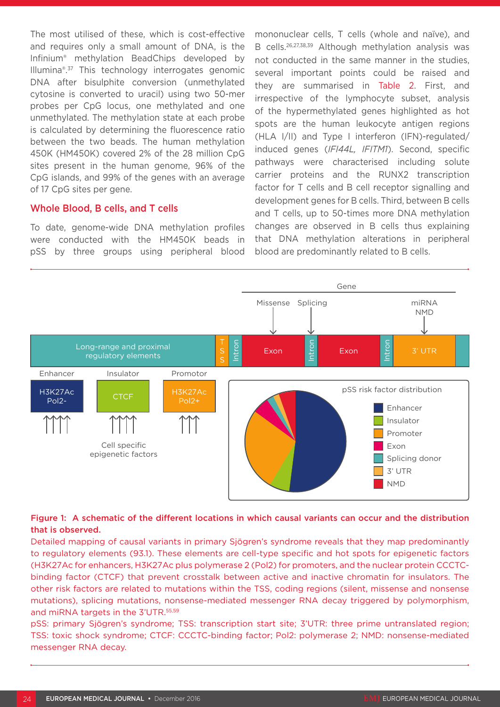The most utilised of these, which is cost-effective and requires only a small amount of DNA, is the Infinium® methylation BeadChips developed by Illumina®.37 This technology interrogates genomic DNA after bisulphite conversion (unmethylated cytosine is converted to uracil) using two 50-mer probes per CpG locus, one methylated and one unmethylated. The methylation state at each probe is calculated by determining the fluorescence ratio between the two beads. The human methylation 450K (HM450K) covered 2% of the 28 million CpG sites present in the human genome, 96% of the CpG islands, and 99% of the genes with an average of 17 CpG sites per gene.

#### Whole Blood, B cells, and T cells

To date, genome-wide DNA methylation profiles were conducted with the HM450K beads in pSS by three groups using peripheral blood mononuclear cells, T cells (whole and naïve), and B cells.26,27,38,39 Although methylation analysis was not conducted in the same manner in the studies, several important points could be raised and they are summarised in Table 2. First, and irrespective of the lymphocyte subset, analysis of the hypermethylated genes highlighted as hot spots are the human leukocyte antigen regions (HLA I/II) and Type I interferon (IFN)-regulated/ induced genes (*IFI44L, IFITM1*). Second, specific pathways were characterised including solute carrier proteins and the RUNX2 transcription factor for T cells and B cell receptor signalling and development genes for B cells. Third, between B cells and T cells, up to 50-times more DNA methylation changes are observed in B cells thus explaining that DNA methylation alterations in peripheral blood are predominantly related to B cells.



### Figure 1: A schematic of the different locations in which causal variants can occur and the distribution that is observed.

Detailed mapping of causal variants in primary Sjögren's syndrome reveals that they map predominantly to regulatory elements (93.1). These elements are cell-type specific and hot spots for epigenetic factors (H3K27Ac for enhancers, H3K27Ac plus polymerase 2 (Pol2) for promoters, and the nuclear protein CCCTCbinding factor (CTCF) that prevent crosstalk between active and inactive chromatin for insulators. The other risk factors are related to mutations within the TSS, coding regions (silent, missense and nonsense mutations), splicing mutations, nonsense-mediated messenger RNA decay triggered by polymorphism, and miRNA targets in the 3'UTR.<sup>55,59</sup>

pSS: primary Sjögren's syndrome; TSS: transcription start site; 3'UTR: three prime untranslated region; TSS: toxic shock syndrome; CTCF: CCCTC-binding factor; Pol2: polymerase 2; NMD: nonsense-mediated messenger RNA decay.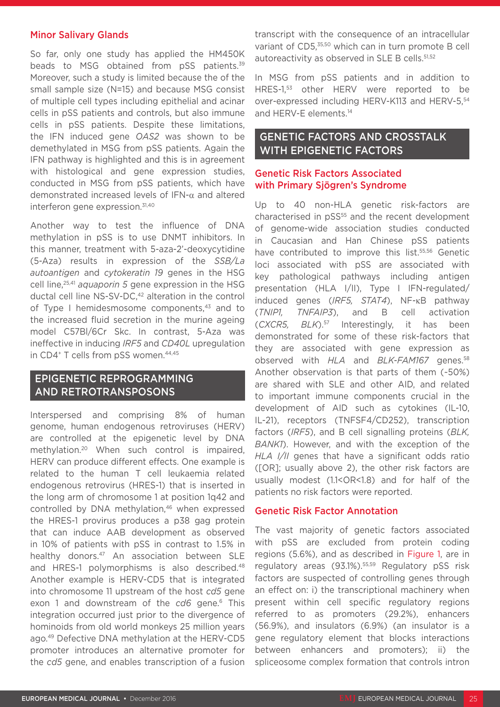#### Minor Salivary Glands

So far, only one study has applied the HM450K beads to MSG obtained from pSS patients.<sup>39</sup> Moreover, such a study is limited because the of the small sample size (N=15) and because MSG consist of multiple cell types including epithelial and acinar cells in pSS patients and controls, but also immune cells in pSS patients. Despite these limitations, the IFN induced gene *OAS2* was shown to be demethylated in MSG from pSS patients. Again the IFN pathway is highlighted and this is in agreement with histological and gene expression studies, conducted in MSG from pSS patients, which have demonstrated increased levels of IFN-α and altered interferon gene expression.<sup>31,40</sup>

Another way to test the influence of DNA methylation in pSS is to use DNMT inhibitors. In this manner, treatment with 5-aza-2'-deoxycytidine (5-Aza) results in expression of the *SSB/La autoantigen* and *cytokeratin 19* genes in the HSG cell line,25,41 *aquaporin 5* gene expression in the HSG ductal cell line NS-SV-DC,<sup>42</sup> alteration in the control of Type I hemidesmosome components.<sup>43</sup> and to the increased fluid secretion in the murine ageing model C57Bl/6Cr Skc. In contrast, 5-Aza was ineffective in inducing *IRF5* and *CD40L* upregulation in CD4<sup>+</sup> T cells from pSS women.<sup>44,45</sup>

## EPIGENETIC REPROGRAMMING AND RETROTRANSPOSONS

Interspersed and comprising 8% of human genome, human endogenous retroviruses (HERV) are controlled at the epigenetic level by DNA methylation.20 When such control is impaired, HERV can produce different effects. One example is related to the human T cell leukaemia related endogenous retrovirus (HRES-1) that is inserted in the long arm of chromosome 1 at position 1q42 and controlled by DNA methylation,<sup>46</sup> when expressed the HRES-1 provirus produces a p38 gag protein that can induce AAB development as observed in 10% of patients with pSS in contrast to 1.5% in healthy donors.<sup>47</sup> An association between SLE and HRES-1 polymorphisms is also described.<sup>48</sup> Another example is HERV-CD5 that is integrated into chromosome 11 upstream of the host *cd5* gene exon 1 and downstream of the cd6 gene.<sup>6</sup> This integration occurred just prior to the divergence of hominoids from old world monkeys 25 million years ago.49 Defective DNA methylation at the HERV-CD5 promoter introduces an alternative promoter for the *cd5* gene, and enables transcription of a fusion transcript with the consequence of an intracellular variant of CD5,<sup>35,50</sup> which can in turn promote B cell autoreactivity as observed in SLE B cells.<sup>51,52</sup>

In MSG from pSS patients and in addition to HRES-1,53 other HERV were reported to be over-expressed including HERV-K113 and HERV-5,54 and HERV-E elements.14

## GENETIC FACTORS AND CROSSTALK WITH EPIGENETIC FACTORS

#### Genetic Risk Factors Associated with Primary Sjögren's Syndrome

Up to 40 non-HLA genetic risk-factors are characterised in pSS<sup>55</sup> and the recent development of genome-wide association studies conducted in Caucasian and Han Chinese pSS patients have contributed to improve this list.<sup>55,56</sup> Genetic loci associated with pSS are associated with key pathological pathways including antigen presentation (HLA I/II), Type I IFN-regulated/ induced genes (*IRF5, STAT4*), NF-κB pathway (*TNIP1, TNFAIP3*), and B cell activation (*CXCR5, BLK*).57 Interestingly, it has been demonstrated for some of these risk-factors that they are associated with gene expression as observed with *HLA* and *BLK-FAM167* genes.58 Another observation is that parts of them (~50%) are shared with SLE and other AID, and related to important immune components crucial in the development of AID such as cytokines (IL-10, IL-21), receptors (TNFSF4/CD252), transcription factors (*IRF5*), and B cell signalling proteins (*BLK, BANK1*). However, and with the exception of the *HLA I/II* genes that have a significant odds ratio ([OR]; usually above 2), the other risk factors are usually modest (1.1<OR<1.8) and for half of the patients no risk factors were reported.

### Genetic Risk Factor Annotation

The vast majority of genetic factors associated with pSS are excluded from protein coding regions (5.6%), and as described in Figure 1, are in regulatory areas (93.1%).<sup>55,59</sup> Regulatory pSS risk factors are suspected of controlling genes through an effect on: i) the transcriptional machinery when present within cell specific regulatory regions referred to as promoters (29.2%), enhancers (56.9%), and insulators (6.9%) (an insulator is a gene regulatory element that blocks interactions between enhancers and promoters); ii) the spliceosome complex formation that controls intron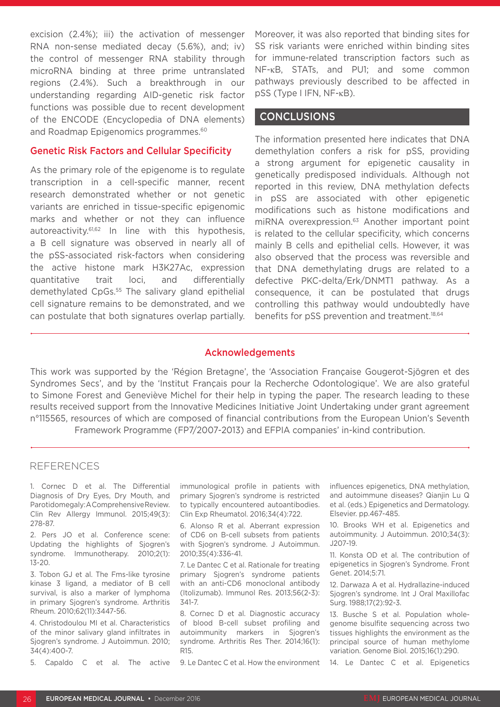excision (2.4%); iii) the activation of messenger RNA non-sense mediated decay (5.6%), and; iv) the control of messenger RNA stability through microRNA binding at three prime untranslated regions (2.4%). Such a breakthrough in our understanding regarding AID-genetic risk factor functions was possible due to recent development of the ENCODE (Encyclopedia of DNA elements) and Roadmap Epigenomics programmes.<sup>60</sup>

#### Genetic Risk Factors and Cellular Specificity

As the primary role of the epigenome is to regulate transcription in a cell-specific manner, recent research demonstrated whether or not genetic variants are enriched in tissue-specific epigenomic marks and whether or not they can influence autoreactivity.61,62 In line with this hypothesis, a B cell signature was observed in nearly all of the pSS-associated risk-factors when considering the active histone mark H3K27Ac, expression quantitative trait loci, and differentially demethylated CpGs.<sup>55</sup> The salivary gland epithelial cell signature remains to be demonstrated, and we can postulate that both signatures overlap partially.

Moreover, it was also reported that binding sites for SS risk variants were enriched within binding sites for immune-related transcription factors such as NF-κB, STATs, and PU1; and some common pathways previously described to be affected in pSS (Type I IFN, NF-κB).

### **CONCLUSIONS**

The information presented here indicates that DNA demethylation confers a risk for pSS, providing a strong argument for epigenetic causality in genetically predisposed individuals. Although not reported in this review, DNA methylation defects in pSS are associated with other epigenetic modifications such as histone modifications and miRNA overexpression.<sup>63</sup> Another important point is related to the cellular specificity, which concerns mainly B cells and epithelial cells. However, it was also observed that the process was reversible and that DNA demethylating drugs are related to a defective PKC-delta/Erk/DNMT1 pathway. As a consequence, it can be postulated that drugs controlling this pathway would undoubtedly have benefits for pSS prevention and treatment.<sup>18,64</sup>

#### Acknowledgements

This work was supported by the 'Région Bretagne', the 'Association Française Gougerot-Sjögren et des Syndromes Secs', and by the 'Institut Français pour la Recherche Odontologique'. We are also grateful to Simone Forest and Geneviève Michel for their help in typing the paper. The research leading to these results received support from the Innovative Medicines Initiative Joint Undertaking under grant agreement n°115565, resources of which are composed of financial contributions from the European Union's Seventh Framework Programme (FP7/2007-2013) and EFPIA companies' in-kind contribution.

#### REFERENCES

1. Cornec D et al. The Differential Diagnosis of Dry Eyes, Dry Mouth, and Parotidomegaly: A Comprehensive Review. Clin Rev Allergy Immunol. 2015;49(3): 278-87.

2. Pers JO et al. Conference scene: Updating the highlights of Sjogren's syndrome. Immunotherapy. 2010;2(1): 13-20.

3. Tobon GJ et al. The Fms-like tyrosine kinase 3 ligand, a mediator of B cell survival, is also a marker of lymphoma in primary Sjogren's syndrome. Arthritis Rheum. 2010;62(11):3447-56.

4. Christodoulou MI et al. Characteristics of the minor salivary gland infiltrates in Sjogren's syndrome. J Autoimmun. 2010; 34(4):400-7.

5. Capaldo C et al. The active

immunological profile in patients with primary Sjogren's syndrome is restricted to typically encountered autoantibodies. Clin Exp Rheumatol. 2016;34(4):722.

6. Alonso R et al. Aberrant expression of CD6 on B-cell subsets from patients with Sjogren's syndrome. J Autoimmun. 2010;35(4):336-41.

7. Le Dantec C et al. Rationale for treating primary Sjogren's syndrome patients with an anti-CD6 monoclonal antibody (Itolizumab). Immunol Res. 2013;56(2-3): 341-7.

8. Cornec D et al. Diagnostic accuracy of blood B-cell subset profiling and autoimmunity markers in Sjogren's syndrome. Arthritis Res Ther. 2014;16(1): R15.

9. Le Dantec C et al. How the environment

influences epigenetics, DNA methylation, and autoimmune diseases? Qianjin Lu Q et al. (eds.) Epigenetics and Dermatology. Elsevier. pp.467-485.

10. Brooks WH et al. Epigenetics and autoimmunity. J Autoimmun. 2010;34(3):  $1207 - 19$ 

11. Konsta OD et al. The contribution of epigenetics in Sjogren's Syndrome. Front Genet. 2014;5:71.

12. Darwaza A et al. Hydrallazine-induced Sjogren's syndrome. Int J Oral Maxillofac Surg. 1988;17(2):92-3.

13. Busche S et al. Population wholegenome bisulfite sequencing across two tissues highlights the environment as the principal source of human methylome variation. Genome Biol. 2015;16(1):290.

14. Le Dantec C et al. Epigenetics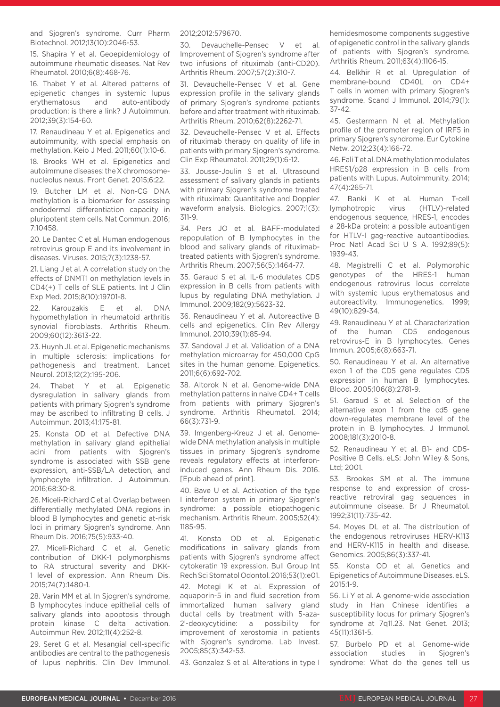and Sjogren's syndrome. Curr Pharm Biotechnol. 2012;13(10):2046-53.

15. Shapira Y et al. Geoepidemiology of autoimmune rheumatic diseases. Nat Rev Rheumatol. 2010;6(8):468-76.

16. Thabet Y et al. Altered patterns of epigenetic changes in systemic lupus erythematosus and auto-antibody production: is there a link? J Autoimmun. 2012;39(3):154-60.

17. Renaudineau Y et al. Epigenetics and autoimmunity, with special emphasis on methylation. Keio J Med. 2011;60(1):10-6.

18. Brooks WH et al. Epigenetics and autoimmune diseases: the X chromosomenucleolus nexus. Front Genet. 2015;6:22.

19. Butcher LM et al. Non-CG DNA methylation is a biomarker for assessing endodermal differentiation capacity in pluripotent stem cells. Nat Commun. 2016; 7:10458.

20. Le Dantec C et al. Human endogenous retrovirus group E and its involvement in diseases. Viruses. 2015;7(3):1238-57.

21. Liang J et al. A correlation study on the effects of DNMT1 on methylation levels in CD4(+) T cells of SLE patients. Int J Clin Exp Med. 2015;8(10):19701-8.

22. Karouzakis E et al. DNA hypomethylation in rheumatoid arthritis synovial fibroblasts. Arthritis Rheum. 2009;60(12):3613-22.

23. Huynh JL et al. Epigenetic mechanisms in multiple sclerosis: implications for pathogenesis and treatment. Lancet Neurol. 2013;12(2):195-206.

24. Thabet Y et al. Epigenetic dysregulation in salivary glands from patients with primary Sjogren's syndrome may be ascribed to infiltrating B cells. J Autoimmun. 2013;41:175-81.

25. Konsta OD et al. Defective DNA methylation in salivary gland epithelial acini from patients with Sjogren's syndrome is associated with SSB gene expression, anti-SSB/LA detection, and lymphocyte infiltration. J Autoimmun. 2016;68:30-8.

26. Miceli-Richard C et al. Overlap between differentially methylated DNA regions in blood B lymphocytes and genetic at-risk loci in primary Sjogren's syndrome. Ann Rheum Dis. 2016;75(5):933-40.

27. Miceli-Richard C et al. Genetic contribution of DKK-1 polymorphisms to RA structural severity and DKK-1 level of expression. Ann Rheum Dis. 2015;74(7):1480-1.

28. Varin MM et al. In Sjogren's syndrome, B lymphocytes induce epithelial cells of salivary glands into apoptosis through protein kinase C delta activation. Autoimmun Rev. 2012;11(4):252-8.

29. Seret G et al. Mesangial cell-specific antibodies are central to the pathogenesis of lupus nephritis. Clin Dev Immunol. 2012;2012:579670.

30. Devauchelle-Pensec V et al. Improvement of Sjogren's syndrome after two infusions of rituximab (anti-CD20). Arthritis Rheum. 2007;57(2):310-7.

31. Devauchelle-Pensec V et al. Gene expression profile in the salivary glands of primary Sjogren's syndrome patients before and after treatment with rituximab. Arthritis Rheum. 2010;62(8):2262-71.

32. Devauchelle-Pensec V et al. Effects of rituximab therapy on quality of life in patients with primary Sjogren's syndrome. Clin Exp Rheumatol. 2011;29(1):6-12.

33. Jousse-Joulin S et al. Ultrasound assessment of salivary glands in patients with primary Sjogren's syndrome treated with rituximab: Quantitative and Doppler waveform analysis. Biologics. 2007;1(3): 311-9.

34. Pers JO et al. BAFF-modulated repopulation of B lymphocytes in the blood and salivary glands of rituximabtreated patients with Sjogren's syndrome. Arthritis Rheum. 2007;56(5):1464-77.

35. Garaud S et al. IL-6 modulates CD5 expression in B cells from patients with lupus by regulating DNA methylation. J Immunol. 2009;182(9):5623-32.

36. Renaudineau Y et al. Autoreactive B cells and epigenetics. Clin Rev Allergy Immunol. 2010;39(1):85-94.

37. Sandoval J et al. Validation of a DNA methylation microarray for 450,000 CpG sites in the human genome. Epigenetics. 2011;6(6):692-702.

38. Altorok N et al. Genome-wide DNA methylation patterns in naive CD4+ T cells from patients with primary Sjogren's syndrome. Arthritis Rheumatol. 2014; 66(3):731-9.

39. Imgenberg-Kreuz J et al. Genomewide DNA methylation analysis in multiple tissues in primary Sjogren's syndrome reveals regulatory effects at interferoninduced genes. Ann Rheum Dis. 2016. [Epub ahead of print].

40. Bave U et al. Activation of the type I interferon system in primary Sjogren's syndrome: a possible etiopathogenic mechanism. Arthritis Rheum. 2005;52(4): 1185-95.

41. Konsta OD et al. Epigenetic modifications in salivary glands from patients with Sjogren's syndrome affect cytokeratin 19 expression. Bull Group Int Rech Sci Stomatol Odontol. 2016;53(1):e01.

42. Motegi K et al. Expression of aquaporin-5 in and fluid secretion from immortalized human salivary gland ductal cells by treatment with 5-aza-2'-deoxycytidine: a possibility for improvement of xerostomia in patients with Sjogren's syndrome. Lab Invest. 2005;85(3):342-53.

43. Gonzalez S et al. Alterations in type I

hemidesmosome components suggestive of epigenetic control in the salivary glands of patients with Sjogren's syndrome. Arthritis Rheum. 2011;63(4):1106-15.

44. Belkhir R et al. Upregulation of membrane-bound CD40L on CD4+ T cells in women with primary Sjogren's syndrome. Scand J Immunol. 2014;79(1): 37-42.

45. Gestermann N et al. Methylation profile of the promoter region of IRF5 in primary Sjogren's syndrome. Eur Cytokine Netw. 2012;23(4):166-72.

46. Fali T et al. DNA methylation modulates HRES1/p28 expression in B cells from patients with Lupus. Autoimmunity. 2014; 47(4):265-71.

47. Banki K et al. Human T-cell lymphotropic virus (HTLV)-related endogenous sequence, HRES-1, encodes a 28-kDa protein: a possible autoantigen for HTLV-I gag-reactive autoantibodies. Proc Natl Acad Sci U S A. 1992;89(5): 1939-43.

48. Magistrelli C et al. Polymorphic genotypes of the HRES-1 human endogenous retrovirus locus correlate with systemic lupus erythematosus and autoreactivity. Immunogenetics. 1999; 49(10):829-34.

49. Renaudineau Y et al. Characterization of the human CD5 endogenous retrovirus-E in B lymphocytes. Genes Immun. 2005;6(8):663-71.

50. Renaudineau Y et al. An alternative exon 1 of the CD5 gene regulates CD5 expression in human B lymphocytes. Blood. 2005;106(8):2781-9.

51. Garaud S et al. Selection of the alternative exon 1 from the cd5 gene down-regulates membrane level of the protein in B lymphocytes. J Immunol. 2008;181(3):2010-8.

52. Renaudineau Y et al. B1- and CD5- Positive B Cells. eLS: John Wiley & Sons, Ltd; 2001.

53. Brookes SM et al. The immune response to and expression of crossreactive retroviral gag sequences in autoimmune disease. Br J Rheumatol. 1992;31(11):735-42.

54. Moyes DL et al. The distribution of the endogenous retroviruses HERV-K113 and HERV-K115 in health and disease. Genomics. 2005;86(3):337-41.

55. Konsta OD et al. Genetics and Epigenetics of Autoimmune Diseases. eLS. 2015:1-9.

56. Li Y et al. A genome-wide association study in Han Chinese identifies a susceptibility locus for primary Sjogren's syndrome at 7q11.23. Nat Genet. 2013; 45(11):1361-5.

57. Burbelo PD et al. Genome-wide association studies in Sjogren's syndrome: What do the genes tell us